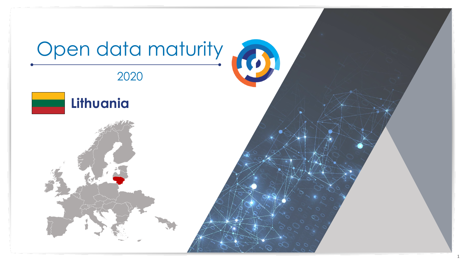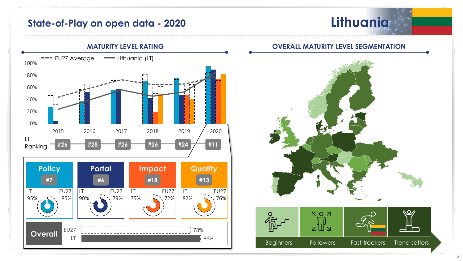## **State-of-Play on open data - 2020**





## **OVERALL MATURITY LEVEL SEGMENTATION**

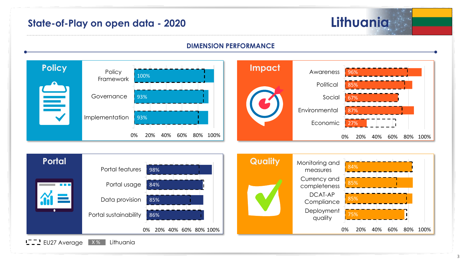# **State-of-Play on open data - 2020 Lithuania**

#### **DIMENSION PERFORMANCE**